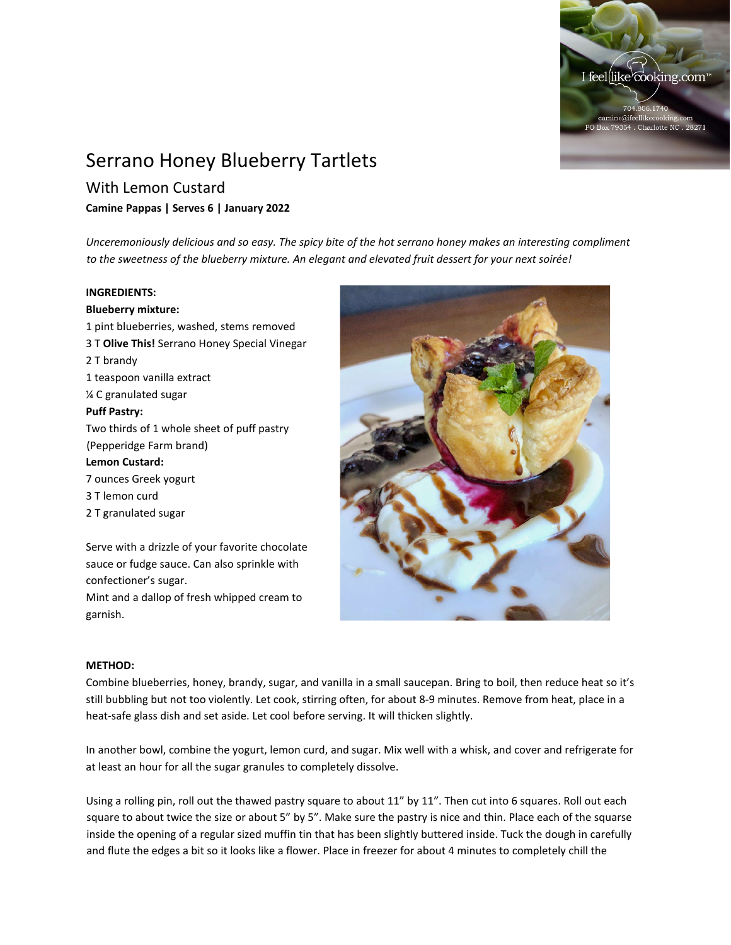

# Serrano Honey Blueberry Tartlets

# With Lemon Custard

## **Camine Pappas | Serves 6 | January 2022**

*Unceremoniously delicious and so easy. The spicy bite of the hot serrano honey makes an interesting compliment to the sweetness of the blueberry mixture. An elegant and elevated fruit dessert for your next soirée!*

### **INGREDIENTS:**

**Blueberry mixture:** 1 pint blueberries, washed, stems removed 3 T **Olive This!** Serrano Honey Special Vinegar 2 T brandy 1 teaspoon vanilla extract ¼ C granulated sugar **Puff Pastry:** Two thirds of 1 whole sheet of puff pastry (Pepperidge Farm brand) **Lemon Custard:** 7 ounces Greek yogurt 3 T lemon curd 2 T granulated sugar

Serve with a drizzle of your favorite chocolate sauce or fudge sauce. Can also sprinkle with confectioner's sugar. Mint and a dallop of fresh whipped cream to garnish.



#### **METHOD:**

Combine blueberries, honey, brandy, sugar, and vanilla in a small saucepan. Bring to boil, then reduce heat so it's still bubbling but not too violently. Let cook, stirring often, for about 8-9 minutes. Remove from heat, place in a heat-safe glass dish and set aside. Let cool before serving. It will thicken slightly.

In another bowl, combine the yogurt, lemon curd, and sugar. Mix well with a whisk, and cover and refrigerate for at least an hour for all the sugar granules to completely dissolve.

Using a rolling pin, roll out the thawed pastry square to about 11" by 11". Then cut into 6 squares. Roll out each square to about twice the size or about 5" by 5". Make sure the pastry is nice and thin. Place each of the squarse inside the opening of a regular sized muffin tin that has been slightly buttered inside. Tuck the dough in carefully and flute the edges a bit so it looks like a flower. Place in freezer for about 4 minutes to completely chill the